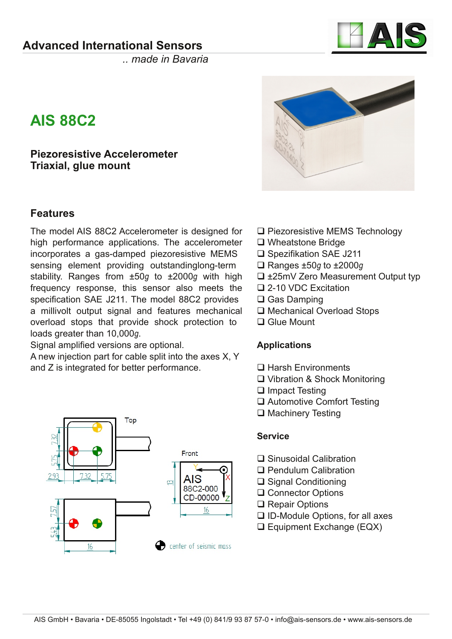

*.. made in Bavaria*

# **AIS 88C2**

**Piezoresistive Accelerometer Triaxial, glue mount**

## **Features**

The model AIS 88C2 Accelerometer is designed for high performance applications. The accelerometer incorporates a gas-damped piezoresistive MEMS sensing element providing outstandinglong-term stability. Ranges from ±50*g* to ±2000*g* with high frequency response, this sensor also meets the specification SAE J211. The model 88C2 provides a millivolt output signal and features mechanical overload stops that provide shock protection to loads greater than 10,000*g*.

Signal amplified versions are optional.

A new injection part for cable split into the axes X, Y and Z is integrated for better performance.





- □ Piezoresistive MEMS Technology
- □ Wheatstone Bridge
- □ Spezifikation SAE J211
- Ranges ±50*g* to ±2000*g*
- ±25mV Zero Measurement Output typ
- □ 2-10 VDC Excitation
- **□ Gas Damping**
- □ Mechanical Overload Stops
- □ Glue Mount

### **Applications**

- □ Harsh Environments
- Vibration & Shock Monitoring
- $\Box$  Impact Testing
- □ Automotive Comfort Testing
- **□ Machinery Testing**

#### **Service**

- □ Sinusoidal Calibration
- □ Pendulum Calibration
- **□ Signal Conditioning**
- **□ Connector Options**
- **□ Repair Options**
- $\Box$  ID-Module Options, for all axes
- □ Equipment Exchange (EQX)